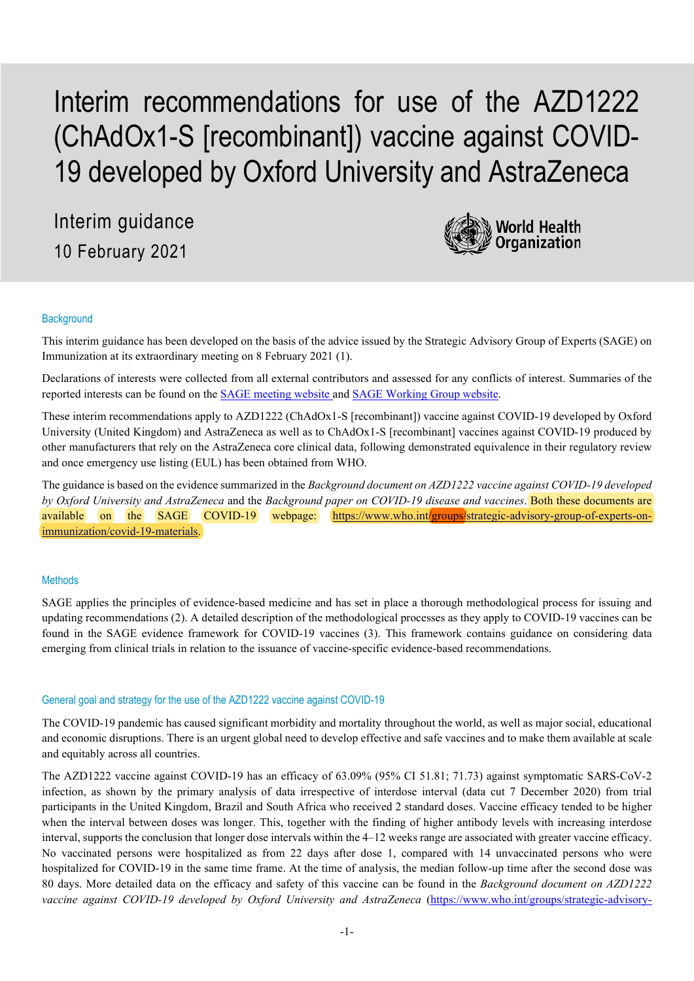# Interim recommendations for use of the AZD1222 (ChAdOx1-S [recombinant]) vaccine against COVID-19 developed by Oxford University and AstraZeneca

Interim guidance 10 February 2021



## **Background**

This interim guidance has been developed on the basis of the advice issued by the Strategic Advisory Group of Experts (SAGE) on Immunization at its extraordinary meeting on 8 February 2021 (1).

Declarations of interests were collected from all external contributors and assessed for any conflicts of interest. Summaries of the reported interests can be found on the [SAGE meeting website a](https://www.who.int/news-room/events/detail/2021/02/08/default-calendar/extraordinary-meeting-of-the-strategic-advisory-group-of-experts-on-immunization-(sage)---8-february-2021)nd [SAGE Working Group website.](https://www.who.int/immunization/sage/sage_wg_covid-19/en/)

These interim recommendations apply to AZD1222 (ChAdOx1-S [recombinant]) vaccine against COVID-19 developed by Oxford University (United Kingdom) and AstraZeneca as well as to ChAdOx1-S [recombinant] vaccines against COVID-19 produced by other manufacturers that rely on the AstraZeneca core clinical data, following demonstrated equivalence in their regulatory review and once emergency use listing (EUL) has been obtained from WHO.

The guidance is based on the evidence summarized in the *Background document on AZD1222 vaccine against COVID-19 developed by Oxford University and AstraZeneca* and the *Background paper on COVID-19 disease and vaccines*. Both these documents are available on the SAGE COVID-19 webpage: [https://www.who.int/groups/strategic-advisory-group-of-experts-on](https://www.who.int/groups/strategic-advisory-group-of-experts-on-immunization/covid-19-materials)[immunization/covid-19-materials.](https://www.who.int/groups/strategic-advisory-group-of-experts-on-immunization/covid-19-materials)

## **Methods**

SAGE applies the principles of evidence-based medicine and has set in place a thorough methodological process for issuing and updating recommendations (2). A detailed description of the methodological processes as they apply to COVID-19 vaccines can be found in the SAGE evidence framework for COVID-19 vaccines (3). This framework contains guidance on considering data emerging from clinical trials in relation to the issuance of vaccine-specific evidence-based recommendations.

#### General goal and strategy for the use of the AZD1222 vaccine against COVID-19

The COVID-19 pandemic has caused significant morbidity and mortality throughout the world, as well as major social, educational and economic disruptions. There is an urgent global need to develop effective and safe vaccines and to make them available at scale and equitably across all countries.

The AZD1222 vaccine against COVID-19 has an efficacy of 63.09% (95% CI 51.81; 71.73) against symptomatic SARS-CoV-2 infection, as shown by the primary analysis of data irrespective of interdose interval (data cut 7 December 2020) from trial participants in the United Kingdom, Brazil and South Africa who received 2 standard doses. Vaccine efficacy tended to be higher when the interval between doses was longer. This, together with the finding of higher antibody levels with increasing interdose interval, supports the conclusion that longer dose intervals within the 4–12 weeks range are associated with greater vaccine efficacy. No vaccinated persons were hospitalized as from 22 days after dose 1, compared with 14 unvaccinated persons who were hospitalized for COVID-19 in the same time frame. At the time of analysis, the median follow-up time after the second dose was 80 days. More detailed data on the efficacy and safety of this vaccine can be found in the *Background document on AZD1222 vaccine against COVID-19 developed by Oxford University and AstraZeneca* [\(https://www.who.int/groups/strategic-advisory-](https://www.who.int/groups/strategic-advisory-group-of-experts-on-immunization/covid-19-materials)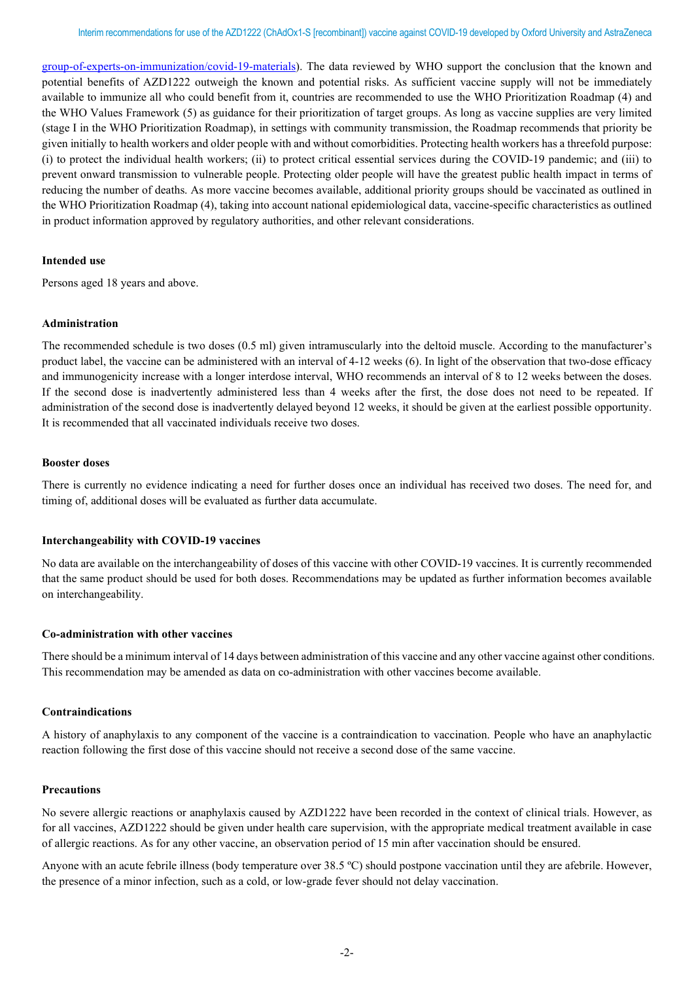[group-of-experts-on-immunization/covid-19-materials\)](https://www.who.int/groups/strategic-advisory-group-of-experts-on-immunization/covid-19-materials). The data reviewed by WHO support the conclusion that the known and potential benefits of AZD1222 outweigh the known and potential risks. As sufficient vaccine supply will not be immediately available to immunize all who could benefit from it, countries are recommended to use the WHO Prioritization Roadmap (4) and the WHO Values Framework (5) as guidance for their prioritization of target groups. As long as vaccine supplies are very limited (stage I in the WHO Prioritization Roadmap), in settings with community transmission, the Roadmap recommends that priority be given initially to health workers and older people with and without comorbidities. Protecting health workers has a threefold purpose: (i) to protect the individual health workers; (ii) to protect critical essential services during the COVID-19 pandemic; and (iii) to prevent onward transmission to vulnerable people. Protecting older people will have the greatest public health impact in terms of reducing the number of deaths. As more vaccine becomes available, additional priority groups should be vaccinated as outlined in the WHO Prioritization Roadmap (4), taking into account national epidemiological data, vaccine-specific characteristics as outlined in product information approved by regulatory authorities, and other relevant considerations.

#### **Intended use**

Persons aged 18 years and above.

## **Administration**

The recommended schedule is two doses (0.5 ml) given intramuscularly into the deltoid muscle. According to the manufacturer's product label, the vaccine can be administered with an interval of 4-12 weeks (6). In light of the observation that two-dose efficacy and immunogenicity increase with a longer interdose interval, WHO recommends an interval of 8 to 12 weeks between the doses. If the second dose is inadvertently administered less than 4 weeks after the first, the dose does not need to be repeated. If administration of the second dose is inadvertently delayed beyond 12 weeks, it should be given at the earliest possible opportunity. It is recommended that all vaccinated individuals receive two doses.

#### **Booster doses**

There is currently no evidence indicating a need for further doses once an individual has received two doses. The need for, and timing of, additional doses will be evaluated as further data accumulate.

## **Interchangeability with COVID-19 vaccines**

No data are available on the interchangeability of doses of this vaccine with other COVID-19 vaccines. It is currently recommended that the same product should be used for both doses. Recommendations may be updated as further information becomes available on interchangeability.

#### **Co-administration with other vaccines**

There should be a minimum interval of 14 days between administration of this vaccine and any other vaccine against other conditions. This recommendation may be amended as data on co-administration with other vaccines become available.

# **Contraindications**

A history of anaphylaxis to any component of the vaccine is a contraindication to vaccination. People who have an anaphylactic reaction following the first dose of this vaccine should not receive a second dose of the same vaccine.

#### **Precautions**

No severe allergic reactions or anaphylaxis caused by AZD1222 have been recorded in the context of clinical trials. However, as for all vaccines, AZD1222 should be given under health care supervision, with the appropriate medical treatment available in case of allergic reactions. As for any other vaccine, an observation period of 15 min after vaccination should be ensured.

Anyone with an acute febrile illness (body temperature over 38.5 ºC) should postpone vaccination until they are afebrile. However, the presence of a minor infection, such as a cold, or low-grade fever should not delay vaccination.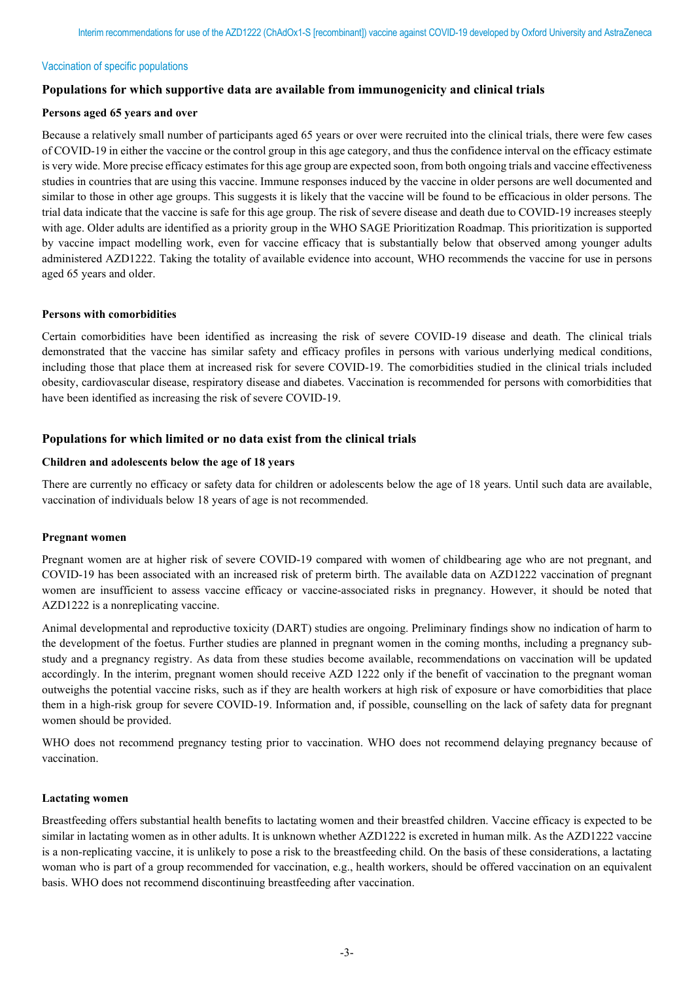#### Vaccination of specific populations

# **Populations for which supportive data are available from immunogenicity and clinical trials**

## **Persons aged 65 years and over**

Because a relatively small number of participants aged 65 years or over were recruited into the clinical trials, there were few cases of COVID-19 in either the vaccine or the control group in this age category, and thus the confidence interval on the efficacy estimate is very wide. More precise efficacy estimates for this age group are expected soon, from both ongoing trials and vaccine effectiveness studies in countries that are using this vaccine. Immune responses induced by the vaccine in older persons are well documented and similar to those in other age groups. This suggests it is likely that the vaccine will be found to be efficacious in older persons. The trial data indicate that the vaccine is safe for this age group. The risk of severe disease and death due to COVID-19 increases steeply with age. Older adults are identified as a priority group in the WHO SAGE Prioritization Roadmap. This prioritization is supported by vaccine impact modelling work, even for vaccine efficacy that is substantially below that observed among younger adults administered AZD1222. Taking the totality of available evidence into account, WHO recommends the vaccine for use in persons aged 65 years and older.

## **Persons with comorbidities**

Certain comorbidities have been identified as increasing the risk of severe COVID-19 disease and death. The clinical trials demonstrated that the vaccine has similar safety and efficacy profiles in persons with various underlying medical conditions, including those that place them at increased risk for severe COVID-19. The comorbidities studied in the clinical trials included obesity, cardiovascular disease, respiratory disease and diabetes. Vaccination is recommended for persons with comorbidities that have been identified as increasing the risk of severe COVID-19.

# **Populations for which limited or no data exist from the clinical trials**

## **Children and adolescents below the age of 18 years**

There are currently no efficacy or safety data for children or adolescents below the age of 18 years. Until such data are available, vaccination of individuals below 18 years of age is not recommended.

#### **Pregnant women**

Pregnant women are at higher risk of severe COVID-19 compared with women of childbearing age who are not pregnant, and COVID-19 has been associated with an increased risk of preterm birth. The available data on AZD1222 vaccination of pregnant women are insufficient to assess vaccine efficacy or vaccine-associated risks in pregnancy. However, it should be noted that AZD1222 is a nonreplicating vaccine.

Animal developmental and reproductive toxicity (DART) studies are ongoing. Preliminary findings show no indication of harm to the development of the foetus. Further studies are planned in pregnant women in the coming months, including a pregnancy substudy and a pregnancy registry. As data from these studies become available, recommendations on vaccination will be updated accordingly. In the interim, pregnant women should receive AZD 1222 only if the benefit of vaccination to the pregnant woman outweighs the potential vaccine risks, such as if they are health workers at high risk of exposure or have comorbidities that place them in a high-risk group for severe COVID-19. Information and, if possible, counselling on the lack of safety data for pregnant women should be provided.

WHO does not recommend pregnancy testing prior to vaccination. WHO does not recommend delaying pregnancy because of vaccination.

## **Lactating women**

Breastfeeding offers substantial health benefits to lactating women and their breastfed children. Vaccine efficacy is expected to be similar in lactating women as in other adults. It is unknown whether AZD1222 is excreted in human milk. As the AZD1222 vaccine is a non-replicating vaccine, it is unlikely to pose a risk to the breastfeeding child. On the basis of these considerations, a lactating woman who is part of a group recommended for vaccination, e.g., health workers, should be offered vaccination on an equivalent basis. WHO does not recommend discontinuing breastfeeding after vaccination.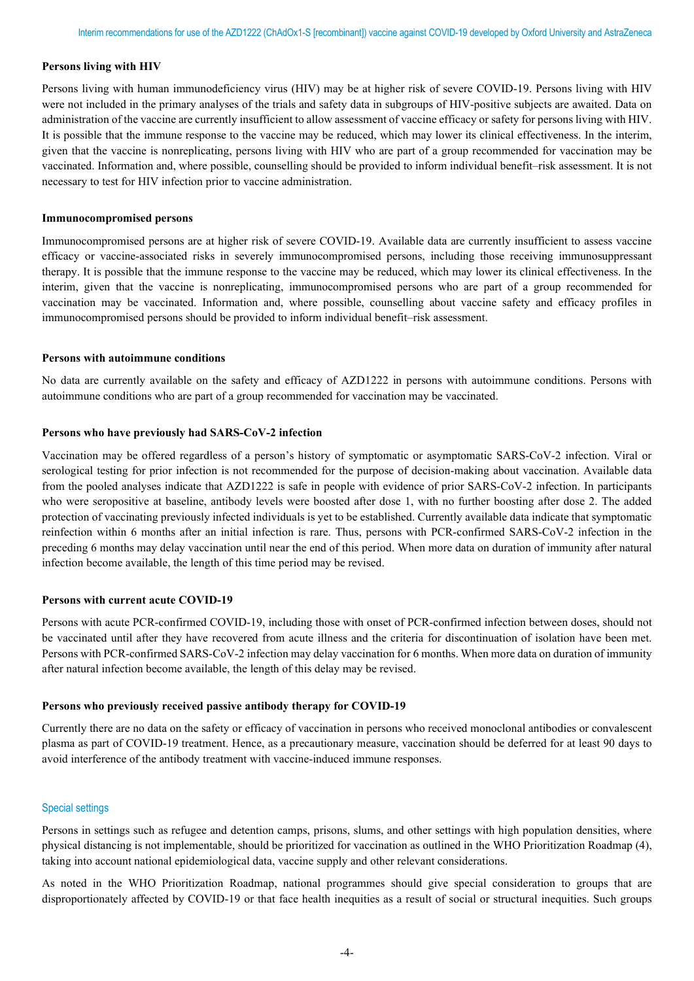#### **Persons living with HIV**

Persons living with human immunodeficiency virus (HIV) may be at higher risk of severe COVID-19. Persons living with HIV were not included in the primary analyses of the trials and safety data in subgroups of HIV-positive subjects are awaited. Data on administration of the vaccine are currently insufficient to allow assessment of vaccine efficacy or safety for persons living with HIV. It is possible that the immune response to the vaccine may be reduced, which may lower its clinical effectiveness. In the interim, given that the vaccine is nonreplicating, persons living with HIV who are part of a group recommended for vaccination may be vaccinated. Information and, where possible, counselling should be provided to inform individual benefit–risk assessment. It is not necessary to test for HIV infection prior to vaccine administration.

#### **Immunocompromised persons**

Immunocompromised persons are at higher risk of severe COVID-19. Available data are currently insufficient to assess vaccine efficacy or vaccine-associated risks in severely immunocompromised persons, including those receiving immunosuppressant therapy. It is possible that the immune response to the vaccine may be reduced, which may lower its clinical effectiveness. In the interim, given that the vaccine is nonreplicating, immunocompromised persons who are part of a group recommended for vaccination may be vaccinated. Information and, where possible, counselling about vaccine safety and efficacy profiles in immunocompromised persons should be provided to inform individual benefit–risk assessment.

#### **Persons with autoimmune conditions**

No data are currently available on the safety and efficacy of AZD1222 in persons with autoimmune conditions. Persons with autoimmune conditions who are part of a group recommended for vaccination may be vaccinated.

## **Persons who have previously had SARS-CoV-2 infection**

Vaccination may be offered regardless of a person's history of symptomatic or asymptomatic SARS-CoV-2 infection. Viral or serological testing for prior infection is not recommended for the purpose of decision-making about vaccination. Available data from the pooled analyses indicate that AZD1222 is safe in people with evidence of prior SARS-CoV-2 infection. In participants who were seropositive at baseline, antibody levels were boosted after dose 1, with no further boosting after dose 2. The added protection of vaccinating previously infected individuals is yet to be established. Currently available data indicate that symptomatic reinfection within 6 months after an initial infection is rare. Thus, persons with PCR-confirmed SARS-CoV-2 infection in the preceding 6 months may delay vaccination until near the end of this period. When more data on duration of immunity after natural infection become available, the length of this time period may be revised.

# **Persons with current acute COVID-19**

Persons with acute PCR-confirmed COVID-19, including those with onset of PCR-confirmed infection between doses, should not be vaccinated until after they have recovered from acute illness and the criteria for discontinuation of isolation have been met. Persons with PCR-confirmed SARS-CoV-2 infection may delay vaccination for 6 months. When more data on duration of immunity after natural infection become available, the length of this delay may be revised.

#### **Persons who previously received passive antibody therapy for COVID-19**

Currently there are no data on the safety or efficacy of vaccination in persons who received monoclonal antibodies or convalescent plasma as part of COVID-19 treatment. Hence, as a precautionary measure, vaccination should be deferred for at least 90 days to avoid interference of the antibody treatment with vaccine-induced immune responses.

# Special settings

Persons in settings such as refugee and detention camps, prisons, slums, and other settings with high population densities, where physical distancing is not implementable, should be prioritized for vaccination as outlined in the WHO Prioritization Roadmap (4), taking into account national epidemiological data, vaccine supply and other relevant considerations.

As noted in the WHO Prioritization Roadmap, national programmes should give special consideration to groups that are disproportionately affected by COVID-19 or that face health inequities as a result of social or structural inequities. Such groups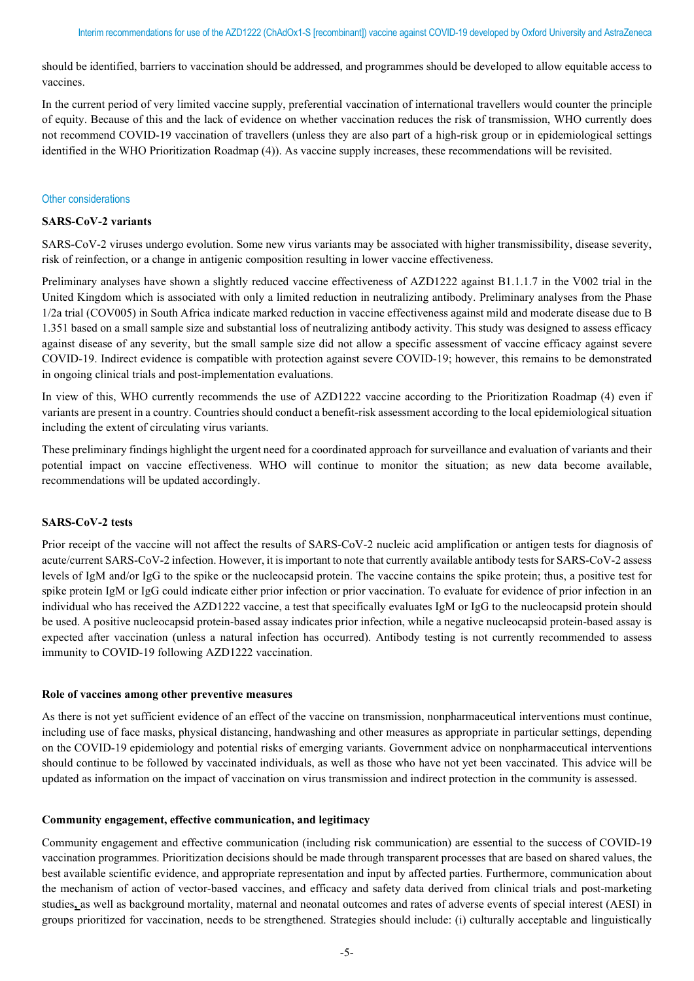should be identified, barriers to vaccination should be addressed, and programmes should be developed to allow equitable access to vaccines.

In the current period of very limited vaccine supply, preferential vaccination of international travellers would counter the principle of equity. Because of this and the lack of evidence on whether vaccination reduces the risk of transmission, WHO currently does not recommend COVID-19 vaccination of travellers (unless they are also part of a high-risk group or in epidemiological settings identified in the WHO Prioritization Roadmap (4)). As vaccine supply increases, these recommendations will be revisited.

#### Other considerations

#### **SARS-CoV-2 variants**

SARS-CoV-2 viruses undergo evolution. Some new virus variants may be associated with higher transmissibility, disease severity, risk of reinfection, or a change in antigenic composition resulting in lower vaccine effectiveness.

Preliminary analyses have shown a slightly reduced vaccine effectiveness of AZD1222 against B1.1.1.7 in the V002 trial in the United Kingdom which is associated with only a limited reduction in neutralizing antibody. Preliminary analyses from the Phase 1/2a trial (COV005) in South Africa indicate marked reduction in vaccine effectiveness against mild and moderate disease due to B 1.351 based on a small sample size and substantial loss of neutralizing antibody activity. This study was designed to assess efficacy against disease of any severity, but the small sample size did not allow a specific assessment of vaccine efficacy against severe COVID-19. Indirect evidence is compatible with protection against severe COVID-19; however, this remains to be demonstrated in ongoing clinical trials and post-implementation evaluations.

In view of this, WHO currently recommends the use of AZD1222 vaccine according to the Prioritization Roadmap (4) even if variants are present in a country. Countries should conduct a benefit-risk assessment according to the local epidemiological situation including the extent of circulating virus variants.

These preliminary findings highlight the urgent need for a coordinated approach for surveillance and evaluation of variants and their potential impact on vaccine effectiveness. WHO will continue to monitor the situation; as new data become available, recommendations will be updated accordingly.

#### **SARS-CoV-2 tests**

Prior receipt of the vaccine will not affect the results of SARS-CoV-2 nucleic acid amplification or antigen tests for diagnosis of acute/current SARS-CoV-2 infection. However, it is important to note that currently available antibody tests for SARS-CoV-2 assess levels of IgM and/or IgG to the spike or the nucleocapsid protein. The vaccine contains the spike protein; thus, a positive test for spike protein IgM or IgG could indicate either prior infection or prior vaccination. To evaluate for evidence of prior infection in an individual who has received the AZD1222 vaccine, a test that specifically evaluates IgM or IgG to the nucleocapsid protein should be used. A positive nucleocapsid protein-based assay indicates prior infection, while a negative nucleocapsid protein-based assay is expected after vaccination (unless a natural infection has occurred). Antibody testing is not currently recommended to assess immunity to COVID-19 following AZD1222 vaccination.

## **Role of vaccines among other preventive measures**

As there is not yet sufficient evidence of an effect of the vaccine on transmission, nonpharmaceutical interventions must continue, including use of face masks, physical distancing, handwashing and other measures as appropriate in particular settings, depending on the COVID-19 epidemiology and potential risks of emerging variants. Government advice on nonpharmaceutical interventions should continue to be followed by vaccinated individuals, as well as those who have not yet been vaccinated. This advice will be updated as information on the impact of vaccination on virus transmission and indirect protection in the community is assessed.

#### **Community engagement, effective communication, and legitimacy**

Community engagement and effective communication (including risk communication) are essential to the success of COVID-19 vaccination programmes. Prioritization decisions should be made through transparent processes that are based on shared values, the best available scientific evidence, and appropriate representation and input by affected parties. Furthermore, communication about the mechanism of action of vector-based vaccines, and efficacy and safety data derived from clinical trials and post-marketing studies**,** as well as background mortality, maternal and neonatal outcomes and rates of adverse events of special interest (AESI) in groups prioritized for vaccination, needs to be strengthened. Strategies should include: (i) culturally acceptable and linguistically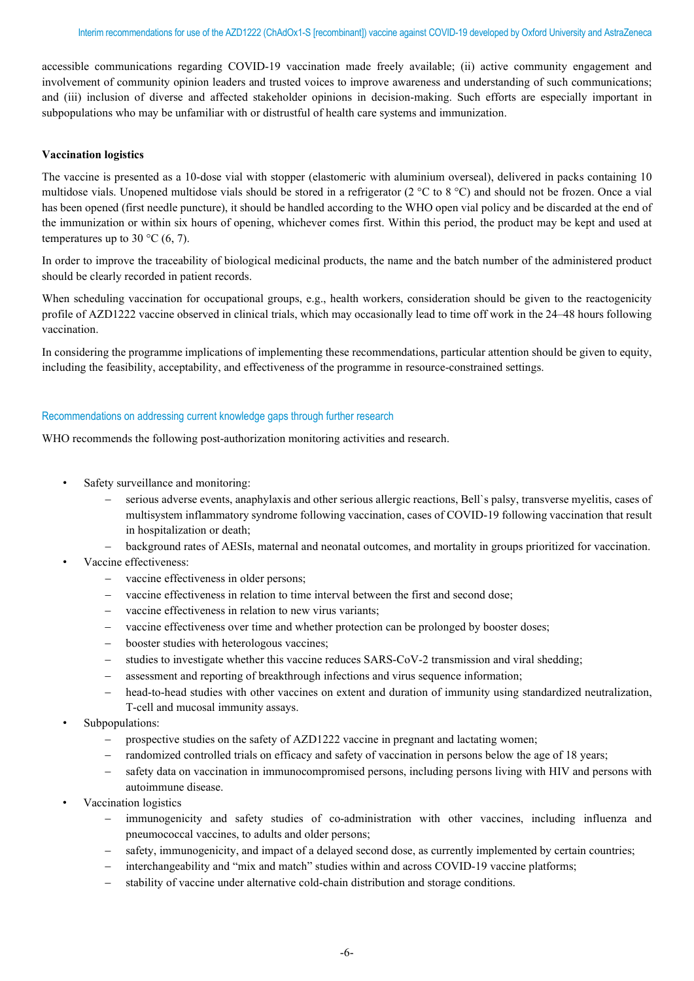accessible communications regarding COVID-19 vaccination made freely available; (ii) active community engagement and involvement of community opinion leaders and trusted voices to improve awareness and understanding of such communications; and (iii) inclusion of diverse and affected stakeholder opinions in decision-making. Such efforts are especially important in subpopulations who may be unfamiliar with or distrustful of health care systems and immunization.

## **Vaccination logistics**

The vaccine is presented as a 10-dose vial with stopper (elastomeric with aluminium overseal), delivered in packs containing 10 multidose vials. Unopened multidose vials should be stored in a refrigerator (2 °C to 8 °C) and should not be frozen. Once a vial has been opened (first needle puncture), it should be handled according to the WHO open vial policy and be discarded at the end of the immunization or within six hours of opening, whichever comes first. Within this period, the product may be kept and used at temperatures up to 30  $^{\circ}$ C (6, 7).

In order to improve the traceability of biological medicinal products, the name and the batch number of the administered product should be clearly recorded in patient records.

When scheduling vaccination for occupational groups, e.g., health workers, consideration should be given to the reactogenicity profile of AZD1222 vaccine observed in clinical trials, which may occasionally lead to time off work in the 24–48 hours following vaccination.

In considering the programme implications of implementing these recommendations, particular attention should be given to equity, including the feasibility, acceptability, and effectiveness of the programme in resource-constrained settings.

## Recommendations on addressing current knowledge gaps through further research

WHO recommends the following post-authorization monitoring activities and research.

- Safety surveillance and monitoring:
	- serious adverse events, anaphylaxis and other serious allergic reactions, Bell`s palsy, transverse myelitis, cases of multisystem inflammatory syndrome following vaccination, cases of COVID-19 following vaccination that result in hospitalization or death;
	- − background rates of AESIs, maternal and neonatal outcomes, and mortality in groups prioritized for vaccination.
- Vaccine effectiveness:
	- − vaccine effectiveness in older persons;
	- vaccine effectiveness in relation to time interval between the first and second dose;
	- − vaccine effectiveness in relation to new virus variants;
	- vaccine effectiveness over time and whether protection can be prolonged by booster doses;
	- − booster studies with heterologous vaccines;
	- − studies to investigate whether this vaccine reduces SARS-CoV-2 transmission and viral shedding;
	- − assessment and reporting of breakthrough infections and virus sequence information;
	- head-to-head studies with other vaccines on extent and duration of immunity using standardized neutralization, T-cell and mucosal immunity assays.
- Subpopulations:
	- prospective studies on the safety of AZD1222 vaccine in pregnant and lactating women;
	- − randomized controlled trials on efficacy and safety of vaccination in persons below the age of 18 years;
	- safety data on vaccination in immunocompromised persons, including persons living with HIV and persons with autoimmune disease.
- Vaccination logistics
	- immunogenicity and safety studies of co-administration with other vaccines, including influenza and pneumococcal vaccines, to adults and older persons;
	- safety, immunogenicity, and impact of a delayed second dose, as currently implemented by certain countries;
	- − interchangeability and "mix and match" studies within and across COVID-19 vaccine platforms;
	- stability of vaccine under alternative cold-chain distribution and storage conditions.